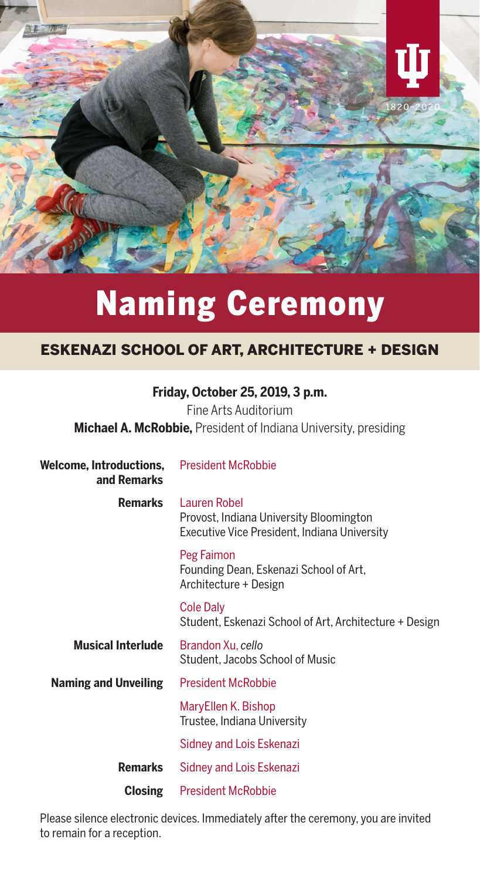

# Naming Ceremony

# ESKENAZI SCHOOL OF ART, ARCHITECTURE + DESIGN

# **Friday, October 25, 2019, 3 p.m.**

Fine Arts Auditorium **Michael A. McRobbie,** President of Indiana University, presiding

| Welcome, Introductions,<br>and Remarks | <b>President McRobbie</b>                                                                               |
|----------------------------------------|---------------------------------------------------------------------------------------------------------|
| Remarks                                | Lauren Robel<br>Provost, Indiana University Bloomington<br>Executive Vice President, Indiana University |
|                                        | Peg Faimon<br>Founding Dean, Eskenazi School of Art,<br>Architecture + Design                           |
|                                        | <b>Cole Daly</b><br>Student, Eskenazi School of Art, Architecture + Design                              |
| <b>Musical Interlude</b>               | Brandon Xu, cello<br>Student, Jacobs School of Music                                                    |
| <b>Naming and Unveiling</b>            | <b>President McRobbie</b>                                                                               |
|                                        | MaryEllen K. Bishop<br>Trustee, Indiana University                                                      |
|                                        | Sidney and Lois Eskenazi                                                                                |
| <b>Remarks</b>                         | Sidney and Lois Eskenazi                                                                                |
| Closing                                | <b>President McRobbie</b>                                                                               |

Please silence electronic devices. Immediately after the ceremony, you are invited to remain for a reception.